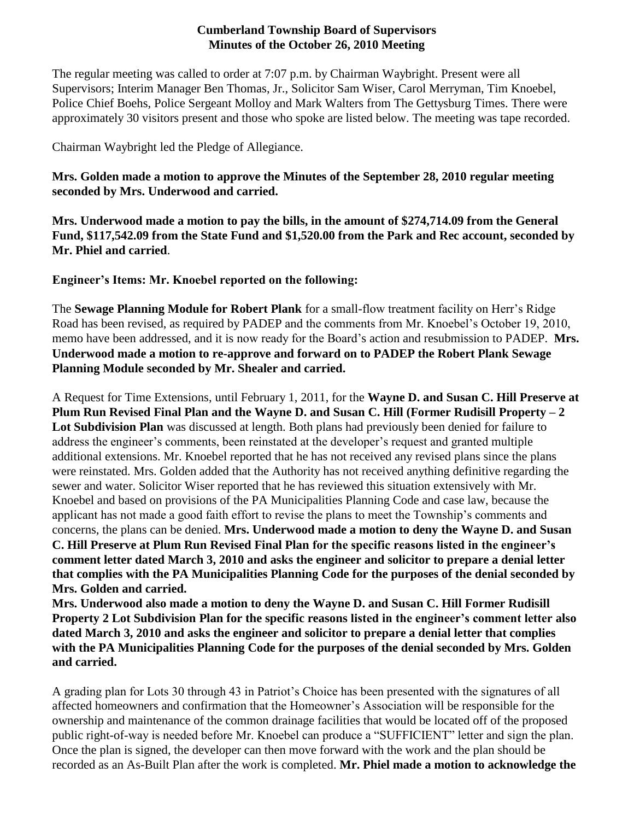#### **Cumberland Township Board of Supervisors Minutes of the October 26, 2010 Meeting**

The regular meeting was called to order at 7:07 p.m. by Chairman Waybright. Present were all Supervisors; Interim Manager Ben Thomas, Jr., Solicitor Sam Wiser, Carol Merryman, Tim Knoebel, Police Chief Boehs, Police Sergeant Molloy and Mark Walters from The Gettysburg Times. There were approximately 30 visitors present and those who spoke are listed below. The meeting was tape recorded.

Chairman Waybright led the Pledge of Allegiance.

**Mrs. Golden made a motion to approve the Minutes of the September 28, 2010 regular meeting seconded by Mrs. Underwood and carried.**

**Mrs. Underwood made a motion to pay the bills, in the amount of \$274,714.09 from the General Fund, \$117,542.09 from the State Fund and \$1,520.00 from the Park and Rec account, seconded by Mr. Phiel and carried**.

**Engineer's Items: Mr. Knoebel reported on the following:**

The **Sewage Planning Module for Robert Plank** for a small-flow treatment facility on Herr's Ridge Road has been revised, as required by PADEP and the comments from Mr. Knoebel's October 19, 2010, memo have been addressed, and it is now ready for the Board's action and resubmission to PADEP. **Mrs. Underwood made a motion to re-approve and forward on to PADEP the Robert Plank Sewage Planning Module seconded by Mr. Shealer and carried.**

A Request for Time Extensions, until February 1, 2011, for the **Wayne D. and Susan C. Hill Preserve at Plum Run Revised Final Plan and the Wayne D. and Susan C. Hill (Former Rudisill Property – 2 Lot Subdivision Plan** was discussed at length. Both plans had previously been denied for failure to address the engineer's comments, been reinstated at the developer's request and granted multiple additional extensions. Mr. Knoebel reported that he has not received any revised plans since the plans were reinstated. Mrs. Golden added that the Authority has not received anything definitive regarding the sewer and water. Solicitor Wiser reported that he has reviewed this situation extensively with Mr. Knoebel and based on provisions of the PA Municipalities Planning Code and case law, because the applicant has not made a good faith effort to revise the plans to meet the Township's comments and concerns, the plans can be denied. **Mrs. Underwood made a motion to deny the Wayne D. and Susan C. Hill Preserve at Plum Run Revised Final Plan for the specific reasons listed in the engineer's comment letter dated March 3, 2010 and asks the engineer and solicitor to prepare a denial letter that complies with the PA Municipalities Planning Code for the purposes of the denial seconded by Mrs. Golden and carried.** 

**Mrs. Underwood also made a motion to deny the Wayne D. and Susan C. Hill Former Rudisill Property 2 Lot Subdivision Plan for the specific reasons listed in the engineer's comment letter also dated March 3, 2010 and asks the engineer and solicitor to prepare a denial letter that complies with the PA Municipalities Planning Code for the purposes of the denial seconded by Mrs. Golden and carried.**

A grading plan for Lots 30 through 43 in Patriot's Choice has been presented with the signatures of all affected homeowners and confirmation that the Homeowner's Association will be responsible for the ownership and maintenance of the common drainage facilities that would be located off of the proposed public right-of-way is needed before Mr. Knoebel can produce a "SUFFICIENT" letter and sign the plan. Once the plan is signed, the developer can then move forward with the work and the plan should be recorded as an As-Built Plan after the work is completed. **Mr. Phiel made a motion to acknowledge the**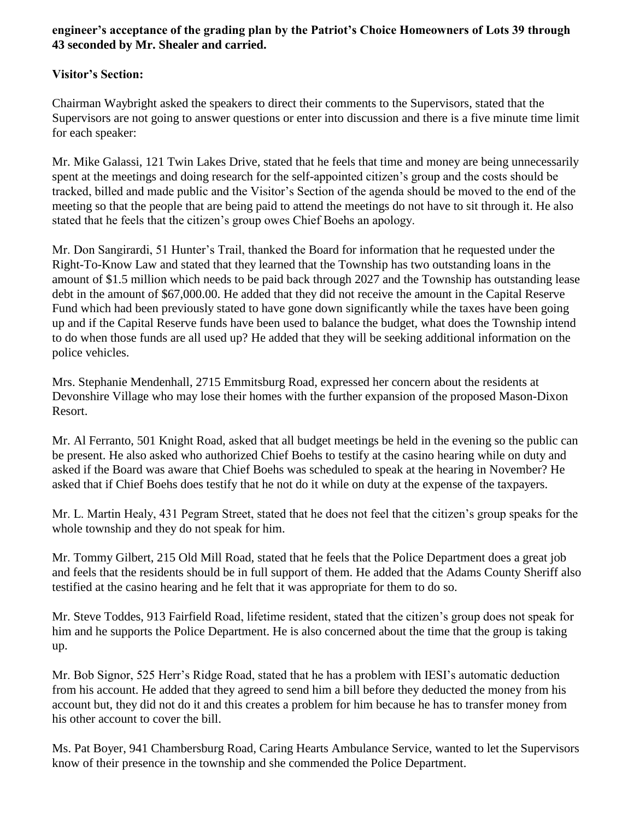# **engineer's acceptance of the grading plan by the Patriot's Choice Homeowners of Lots 39 through 43 seconded by Mr. Shealer and carried.**

# **Visitor's Section:**

Chairman Waybright asked the speakers to direct their comments to the Supervisors, stated that the Supervisors are not going to answer questions or enter into discussion and there is a five minute time limit for each speaker:

Mr. Mike Galassi, 121 Twin Lakes Drive, stated that he feels that time and money are being unnecessarily spent at the meetings and doing research for the self-appointed citizen's group and the costs should be tracked, billed and made public and the Visitor's Section of the agenda should be moved to the end of the meeting so that the people that are being paid to attend the meetings do not have to sit through it. He also stated that he feels that the citizen's group owes Chief Boehs an apology.

Mr. Don Sangirardi, 51 Hunter's Trail, thanked the Board for information that he requested under the Right-To-Know Law and stated that they learned that the Township has two outstanding loans in the amount of \$1.5 million which needs to be paid back through 2027 and the Township has outstanding lease debt in the amount of \$67,000.00. He added that they did not receive the amount in the Capital Reserve Fund which had been previously stated to have gone down significantly while the taxes have been going up and if the Capital Reserve funds have been used to balance the budget, what does the Township intend to do when those funds are all used up? He added that they will be seeking additional information on the police vehicles.

Mrs. Stephanie Mendenhall, 2715 Emmitsburg Road, expressed her concern about the residents at Devonshire Village who may lose their homes with the further expansion of the proposed Mason-Dixon Resort.

Mr. Al Ferranto, 501 Knight Road, asked that all budget meetings be held in the evening so the public can be present. He also asked who authorized Chief Boehs to testify at the casino hearing while on duty and asked if the Board was aware that Chief Boehs was scheduled to speak at the hearing in November? He asked that if Chief Boehs does testify that he not do it while on duty at the expense of the taxpayers.

Mr. L. Martin Healy, 431 Pegram Street, stated that he does not feel that the citizen's group speaks for the whole township and they do not speak for him.

Mr. Tommy Gilbert, 215 Old Mill Road, stated that he feels that the Police Department does a great job and feels that the residents should be in full support of them. He added that the Adams County Sheriff also testified at the casino hearing and he felt that it was appropriate for them to do so.

Mr. Steve Toddes, 913 Fairfield Road, lifetime resident, stated that the citizen's group does not speak for him and he supports the Police Department. He is also concerned about the time that the group is taking up.

Mr. Bob Signor, 525 Herr's Ridge Road, stated that he has a problem with IESI's automatic deduction from his account. He added that they agreed to send him a bill before they deducted the money from his account but, they did not do it and this creates a problem for him because he has to transfer money from his other account to cover the bill.

Ms. Pat Boyer, 941 Chambersburg Road, Caring Hearts Ambulance Service, wanted to let the Supervisors know of their presence in the township and she commended the Police Department.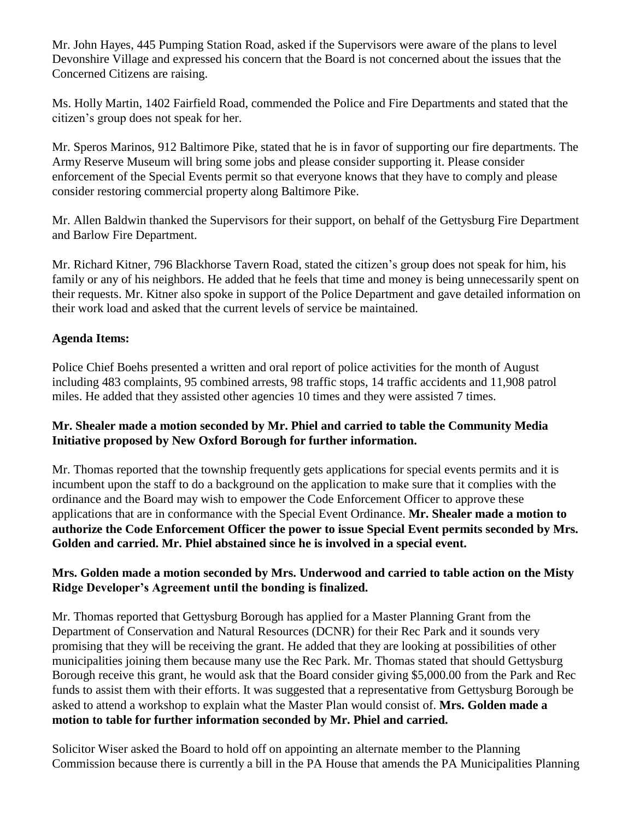Mr. John Hayes, 445 Pumping Station Road, asked if the Supervisors were aware of the plans to level Devonshire Village and expressed his concern that the Board is not concerned about the issues that the Concerned Citizens are raising.

Ms. Holly Martin, 1402 Fairfield Road, commended the Police and Fire Departments and stated that the citizen's group does not speak for her.

Mr. Speros Marinos, 912 Baltimore Pike, stated that he is in favor of supporting our fire departments. The Army Reserve Museum will bring some jobs and please consider supporting it. Please consider enforcement of the Special Events permit so that everyone knows that they have to comply and please consider restoring commercial property along Baltimore Pike.

Mr. Allen Baldwin thanked the Supervisors for their support, on behalf of the Gettysburg Fire Department and Barlow Fire Department.

Mr. Richard Kitner, 796 Blackhorse Tavern Road, stated the citizen's group does not speak for him, his family or any of his neighbors. He added that he feels that time and money is being unnecessarily spent on their requests. Mr. Kitner also spoke in support of the Police Department and gave detailed information on their work load and asked that the current levels of service be maintained.

# **Agenda Items:**

Police Chief Boehs presented a written and oral report of police activities for the month of August including 483 complaints, 95 combined arrests, 98 traffic stops, 14 traffic accidents and 11,908 patrol miles. He added that they assisted other agencies 10 times and they were assisted 7 times.

# **Mr. Shealer made a motion seconded by Mr. Phiel and carried to table the Community Media Initiative proposed by New Oxford Borough for further information.**

Mr. Thomas reported that the township frequently gets applications for special events permits and it is incumbent upon the staff to do a background on the application to make sure that it complies with the ordinance and the Board may wish to empower the Code Enforcement Officer to approve these applications that are in conformance with the Special Event Ordinance. **Mr. Shealer made a motion to authorize the Code Enforcement Officer the power to issue Special Event permits seconded by Mrs. Golden and carried. Mr. Phiel abstained since he is involved in a special event.**

# **Mrs. Golden made a motion seconded by Mrs. Underwood and carried to table action on the Misty Ridge Developer's Agreement until the bonding is finalized.**

Mr. Thomas reported that Gettysburg Borough has applied for a Master Planning Grant from the Department of Conservation and Natural Resources (DCNR) for their Rec Park and it sounds very promising that they will be receiving the grant. He added that they are looking at possibilities of other municipalities joining them because many use the Rec Park. Mr. Thomas stated that should Gettysburg Borough receive this grant, he would ask that the Board consider giving \$5,000.00 from the Park and Rec funds to assist them with their efforts. It was suggested that a representative from Gettysburg Borough be asked to attend a workshop to explain what the Master Plan would consist of. **Mrs. Golden made a motion to table for further information seconded by Mr. Phiel and carried.** 

Solicitor Wiser asked the Board to hold off on appointing an alternate member to the Planning Commission because there is currently a bill in the PA House that amends the PA Municipalities Planning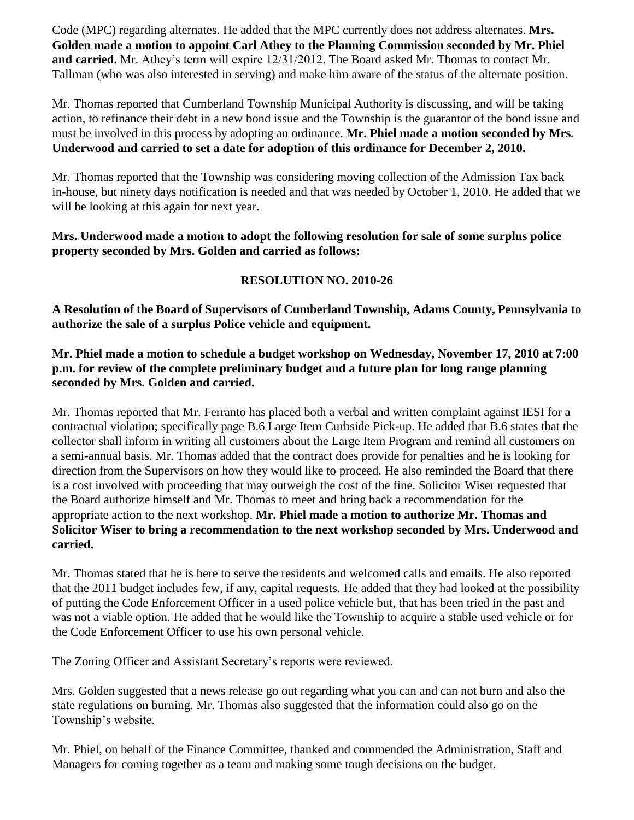Code (MPC) regarding alternates. He added that the MPC currently does not address alternates. **Mrs. Golden made a motion to appoint Carl Athey to the Planning Commission seconded by Mr. Phiel and carried.** Mr. Athey's term will expire 12/31/2012. The Board asked Mr. Thomas to contact Mr. Tallman (who was also interested in serving) and make him aware of the status of the alternate position.

Mr. Thomas reported that Cumberland Township Municipal Authority is discussing, and will be taking action, to refinance their debt in a new bond issue and the Township is the guarantor of the bond issue and must be involved in this process by adopting an ordinance. **Mr. Phiel made a motion seconded by Mrs. Underwood and carried to set a date for adoption of this ordinance for December 2, 2010.**

Mr. Thomas reported that the Township was considering moving collection of the Admission Tax back in-house, but ninety days notification is needed and that was needed by October 1, 2010. He added that we will be looking at this again for next year.

#### **Mrs. Underwood made a motion to adopt the following resolution for sale of some surplus police property seconded by Mrs. Golden and carried as follows:**

# **RESOLUTION NO. 2010-26**

**A Resolution of the Board of Supervisors of Cumberland Township, Adams County, Pennsylvania to authorize the sale of a surplus Police vehicle and equipment.**

#### **Mr. Phiel made a motion to schedule a budget workshop on Wednesday, November 17, 2010 at 7:00 p.m. for review of the complete preliminary budget and a future plan for long range planning seconded by Mrs. Golden and carried.**

Mr. Thomas reported that Mr. Ferranto has placed both a verbal and written complaint against IESI for a contractual violation; specifically page B.6 Large Item Curbside Pick-up. He added that B.6 states that the collector shall inform in writing all customers about the Large Item Program and remind all customers on a semi-annual basis. Mr. Thomas added that the contract does provide for penalties and he is looking for direction from the Supervisors on how they would like to proceed. He also reminded the Board that there is a cost involved with proceeding that may outweigh the cost of the fine. Solicitor Wiser requested that the Board authorize himself and Mr. Thomas to meet and bring back a recommendation for the appropriate action to the next workshop. **Mr. Phiel made a motion to authorize Mr. Thomas and Solicitor Wiser to bring a recommendation to the next workshop seconded by Mrs. Underwood and carried.**

Mr. Thomas stated that he is here to serve the residents and welcomed calls and emails. He also reported that the 2011 budget includes few, if any, capital requests. He added that they had looked at the possibility of putting the Code Enforcement Officer in a used police vehicle but, that has been tried in the past and was not a viable option. He added that he would like the Township to acquire a stable used vehicle or for the Code Enforcement Officer to use his own personal vehicle.

The Zoning Officer and Assistant Secretary's reports were reviewed.

Mrs. Golden suggested that a news release go out regarding what you can and can not burn and also the state regulations on burning. Mr. Thomas also suggested that the information could also go on the Township's website.

Mr. Phiel, on behalf of the Finance Committee, thanked and commended the Administration, Staff and Managers for coming together as a team and making some tough decisions on the budget.